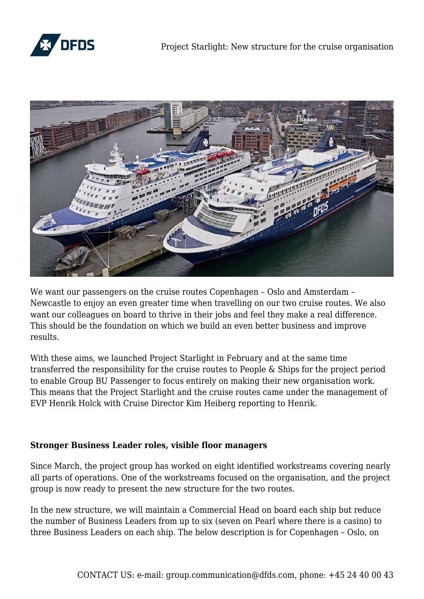



We want our passengers on the cruise routes Copenhagen – Oslo and Amsterdam – Newcastle to enjoy an even greater time when travelling on our two cruise routes. We also want our colleagues on board to thrive in their jobs and feel they make a real difference. This should be the foundation on which we build an even better business and improve results.

With these aims, we launched Project Starlight in February and at the same time transferred the responsibility for the cruise routes to People & Ships for the project period to enable Group BU Passenger to focus entirely on making their new organisation work. This means that the Project Starlight and the cruise routes came under the management of EVP Henrik Holck with Cruise Director Kim Heiberg reporting to Henrik.

#### **Stronger Business Leader roles, visible floor managers**

Since March, the project group has worked on eight identified workstreams covering nearly all parts of operations. One of the workstreams focused on the organisation, and the project group is now ready to present the new structure for the two routes.

In the new structure, we will maintain a Commercial Head on board each ship but reduce the number of Business Leaders from up to six (seven on Pearl where there is a casino) to three Business Leaders on each ship. The below description is for Copenhagen – Oslo, on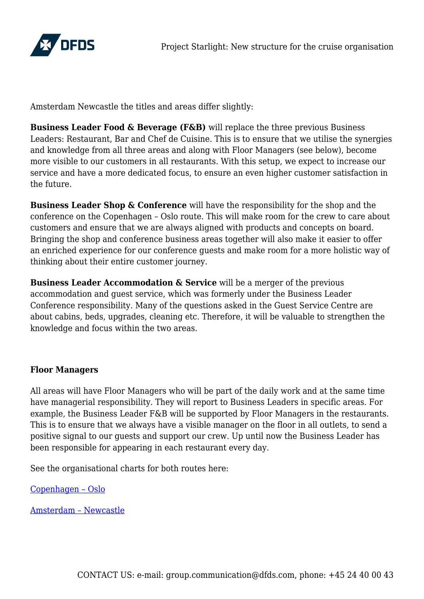

Amsterdam Newcastle the titles and areas differ slightly:

**Business Leader Food & Beverage (F&B)** will replace the three previous Business Leaders: Restaurant, Bar and Chef de Cuisine. This is to ensure that we utilise the synergies and knowledge from all three areas and along with Floor Managers (see below), become more visible to our customers in all restaurants. With this setup, we expect to increase our service and have a more dedicated focus, to ensure an even higher customer satisfaction in the future.

**Business Leader Shop & Conference** will have the responsibility for the shop and the conference on the Copenhagen – Oslo route. This will make room for the crew to care about customers and ensure that we are always aligned with products and concepts on board. Bringing the shop and conference business areas together will also make it easier to offer an enriched experience for our conference guests and make room for a more holistic way of thinking about their entire customer journey.

**Business Leader Accommodation & Service** will be a merger of the previous accommodation and guest service, which was formerly under the Business Leader Conference responsibility. Many of the questions asked in the Guest Service Centre are about cabins, beds, upgrades, cleaning etc. Therefore, it will be valuable to strengthen the knowledge and focus within the two areas.

# **Floor Managers**

All areas will have Floor Managers who will be part of the daily work and at the same time have managerial responsibility. They will report to Business Leaders in specific areas. For example, the Business Leader F&B will be supported by Floor Managers in the restaurants. This is to ensure that we always have a visible manager on the floor in all outlets, to send a positive signal to our guests and support our crew. Up until now the Business Leader has been responsible for appearing in each restaurant every day.

See the organisational charts for both routes here:

[Copenhagen – Oslo](https://www.dfds-news.com/wp-content/uploads/2018/05/Copenhagen-Oslo.pdf)

[Amsterdam – Newcastle](https://www.dfds-news.com/wp-content/uploads/2018/05/Amsterdam-Newcastle.pdf)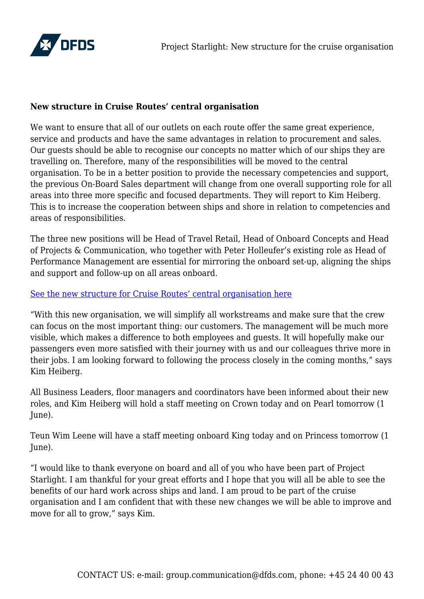

## **New structure in Cruise Routes' central organisation**

We want to ensure that all of our outlets on each route offer the same great experience, service and products and have the same advantages in relation to procurement and sales. Our guests should be able to recognise our concepts no matter which of our ships they are travelling on. Therefore, many of the responsibilities will be moved to the central organisation. To be in a better position to provide the necessary competencies and support, the previous On-Board Sales department will change from one overall supporting role for all areas into three more specific and focused departments. They will report to Kim Heiberg. This is to increase the cooperation between ships and shore in relation to competencies and areas of responsibilities.

The three new positions will be Head of Travel Retail, Head of Onboard Concepts and Head of Projects & Communication, who together with Peter Holleufer's existing role as Head of Performance Management are essential for mirroring the onboard set-up, aligning the ships and support and follow-up on all areas onboard.

### [See the new structure for Cruise Routes' central organisation here](https://www.dfds-news.com/wp-content/uploads/2018/05/Cruise-Routes-central.pdf)

"With this new organisation, we will simplify all workstreams and make sure that the crew can focus on the most important thing: our customers. The management will be much more visible, which makes a difference to both employees and guests. It will hopefully make our passengers even more satisfied with their journey with us and our colleagues thrive more in their jobs. I am looking forward to following the process closely in the coming months," says Kim Heiberg.

All Business Leaders, floor managers and coordinators have been informed about their new roles, and Kim Heiberg will hold a staff meeting on Crown today and on Pearl tomorrow (1 June).

Teun Wim Leene will have a staff meeting onboard King today and on Princess tomorrow (1 June).

"I would like to thank everyone on board and all of you who have been part of Project Starlight. I am thankful for your great efforts and I hope that you will all be able to see the benefits of our hard work across ships and land. I am proud to be part of the cruise organisation and I am confident that with these new changes we will be able to improve and move for all to grow," says Kim.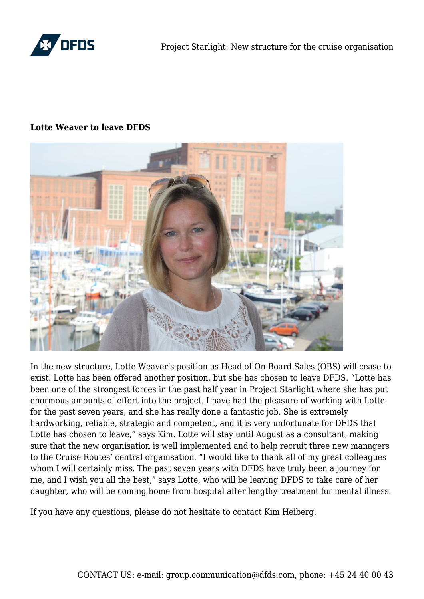

#### **Lotte Weaver to leave DFDS**



In the new structure, Lotte Weaver's position as Head of On-Board Sales (OBS) will cease to exist. Lotte has been offered another position, but she has chosen to leave DFDS. "Lotte has been one of the strongest forces in the past half year in Project Starlight where she has put enormous amounts of effort into the project. I have had the pleasure of working with Lotte for the past seven years, and she has really done a fantastic job. She is extremely hardworking, reliable, strategic and competent, and it is very unfortunate for DFDS that Lotte has chosen to leave," says Kim. Lotte will stay until August as a consultant, making sure that the new organisation is well implemented and to help recruit three new managers to the Cruise Routes' central organisation. "I would like to thank all of my great colleagues whom I will certainly miss. The past seven years with DFDS have truly been a journey for me, and I wish you all the best," says Lotte, who will be leaving DFDS to take care of her daughter, who will be coming home from hospital after lengthy treatment for mental illness.

If you have any questions, please do not hesitate to contact Kim Heiberg.